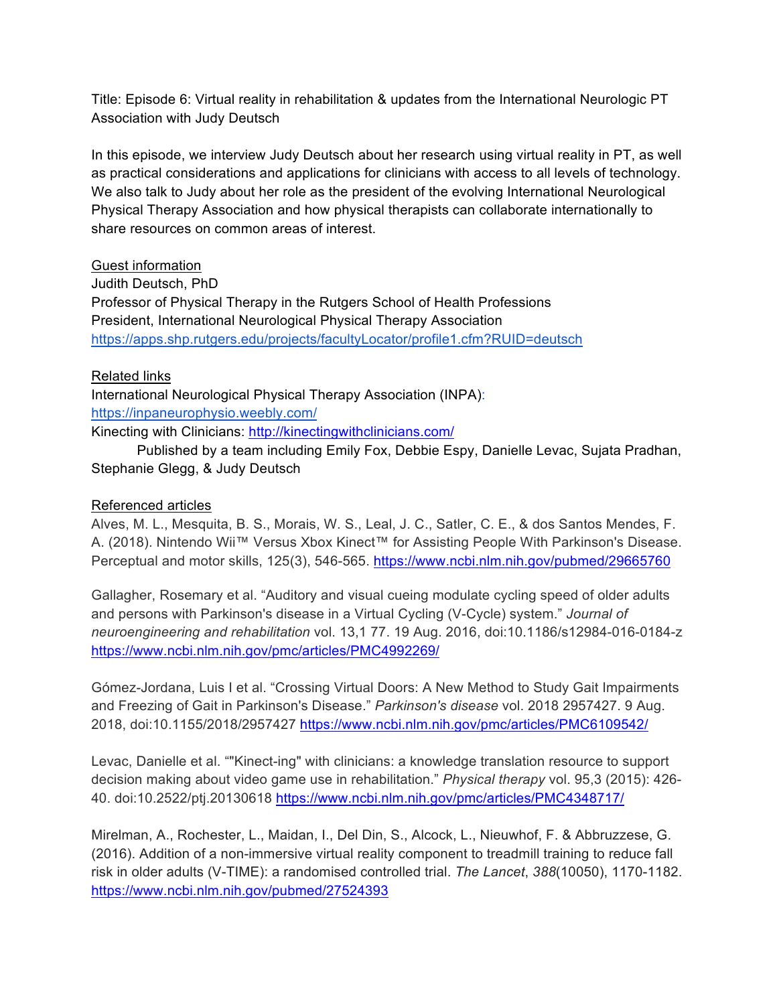Title: Episode 6: Virtual reality in rehabilitation & updates from the International Neurologic PT Association with Judy Deutsch

In this episode, we interview Judy Deutsch about her research using virtual reality in PT, as well as practical considerations and applications for clinicians with access to all levels of technology. We also talk to Judy about her role as the president of the evolving International Neurological Physical Therapy Association and how physical therapists can collaborate internationally to share resources on common areas of interest.

## Guest information

Judith Deutsch, PhD Professor of Physical Therapy in the Rutgers School of Health Professions President, International Neurological Physical Therapy Association https://apps.shp.rutgers.edu/projects/facultyLocator/profile1.cfm?RUID=deutsch

## Related links

International Neurological Physical Therapy Association (INPA): https://inpaneurophysio.weebly.com/

Kinecting with Clinicians: http://kinectingwithclinicians.com/

Published by a team including Emily Fox, Debbie Espy, Danielle Levac, Sujata Pradhan, Stephanie Glegg, & Judy Deutsch

## Referenced articles

Alves, M. L., Mesquita, B. S., Morais, W. S., Leal, J. C., Satler, C. E., & dos Santos Mendes, F. A. (2018). Nintendo Wii™ Versus Xbox Kinect™ for Assisting People With Parkinson's Disease. Perceptual and motor skills, 125(3), 546-565. https://www.ncbi.nlm.nih.gov/pubmed/29665760

Gallagher, Rosemary et al. "Auditory and visual cueing modulate cycling speed of older adults and persons with Parkinson's disease in a Virtual Cycling (V-Cycle) system." *Journal of neuroengineering and rehabilitation* vol. 13,1 77. 19 Aug. 2016, doi:10.1186/s12984-016-0184-z https://www.ncbi.nlm.nih.gov/pmc/articles/PMC4992269/

Gómez-Jordana, Luis I et al. "Crossing Virtual Doors: A New Method to Study Gait Impairments and Freezing of Gait in Parkinson's Disease." *Parkinson's disease* vol. 2018 2957427. 9 Aug. 2018, doi:10.1155/2018/2957427 https://www.ncbi.nlm.nih.gov/pmc/articles/PMC6109542/

Levac, Danielle et al. ""Kinect-ing" with clinicians: a knowledge translation resource to support decision making about video game use in rehabilitation." *Physical therapy* vol. 95,3 (2015): 426- 40. doi:10.2522/ptj.20130618 https://www.ncbi.nlm.nih.gov/pmc/articles/PMC4348717/

Mirelman, A., Rochester, L., Maidan, I., Del Din, S., Alcock, L., Nieuwhof, F. & Abbruzzese, G. (2016). Addition of a non-immersive virtual reality component to treadmill training to reduce fall risk in older adults (V-TIME): a randomised controlled trial. *The Lancet*, *388*(10050), 1170-1182. https://www.ncbi.nlm.nih.gov/pubmed/27524393